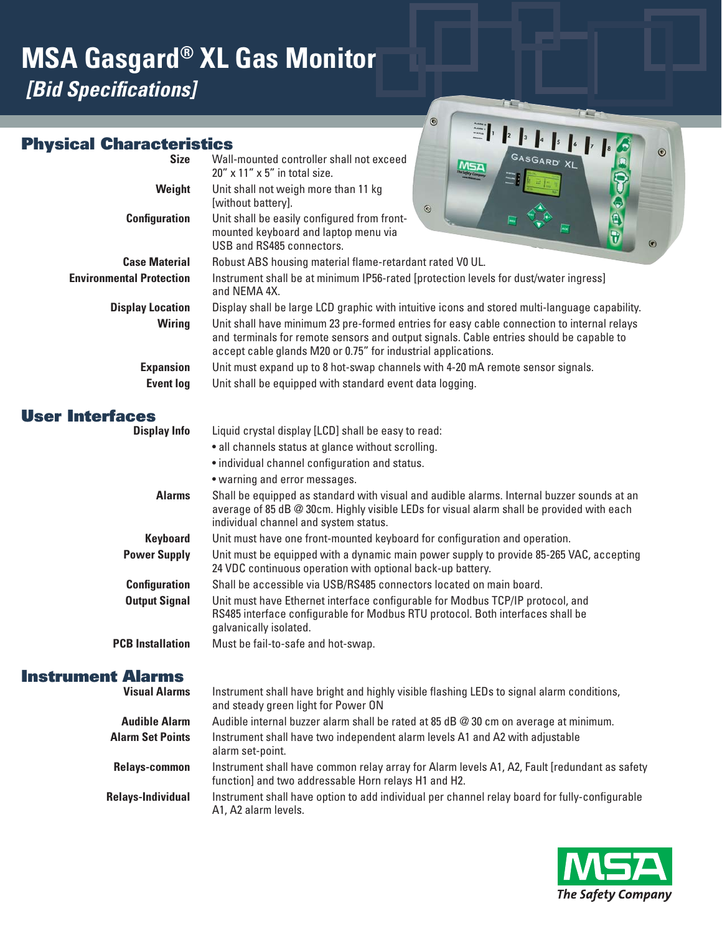# **MSA Gasgard® XL Gas Monitor** *[Bid Specifications]*

### m rantoriction

|                                 | $\circledcirc$                                                                                                                                                                                                                                         |  |  |  |  |
|---------------------------------|--------------------------------------------------------------------------------------------------------------------------------------------------------------------------------------------------------------------------------------------------------|--|--|--|--|
| <b>Physical Characteristics</b> | $\odot$                                                                                                                                                                                                                                                |  |  |  |  |
| <b>Size</b>                     | Wall-mounted controller shall not exceed<br>MSA<br>$20''$ x $11''$ x $5''$ in total size.                                                                                                                                                              |  |  |  |  |
| Weight                          | Unit shall not weigh more than 11 kg<br>[without battery].<br>$\odot$                                                                                                                                                                                  |  |  |  |  |
| <b>Configuration</b>            | E)<br>Unit shall be easily configured from front-<br>mounted keyboard and laptop menu via<br>$\circ$<br>USB and RS485 connectors.                                                                                                                      |  |  |  |  |
| <b>Case Material</b>            | Robust ABS housing material flame-retardant rated V0 UL.                                                                                                                                                                                               |  |  |  |  |
| <b>Environmental Protection</b> | Instrument shall be at minimum IP56-rated [protection levels for dust/water ingress]<br>and NEMA 4X.                                                                                                                                                   |  |  |  |  |
| <b>Display Location</b>         | Display shall be large LCD graphic with intuitive icons and stored multi-language capability.                                                                                                                                                          |  |  |  |  |
| <b>Wiring</b>                   | Unit shall have minimum 23 pre-formed entries for easy cable connection to internal relays<br>and terminals for remote sensors and output signals. Cable entries should be capable to<br>accept cable glands M20 or 0.75" for industrial applications. |  |  |  |  |
| <b>Expansion</b>                | Unit must expand up to 8 hot-swap channels with 4-20 mA remote sensor signals.                                                                                                                                                                         |  |  |  |  |
| <b>Event log</b>                | Unit shall be equipped with standard event data logging.                                                                                                                                                                                               |  |  |  |  |
| <b>User Interfaces</b>          |                                                                                                                                                                                                                                                        |  |  |  |  |
| <b>Display Info</b>             | Liquid crystal display [LCD] shall be easy to read:                                                                                                                                                                                                    |  |  |  |  |
|                                 | • all channels status at glance without scrolling.                                                                                                                                                                                                     |  |  |  |  |
|                                 | · individual channel configuration and status.                                                                                                                                                                                                         |  |  |  |  |
|                                 | • warning and error messages.                                                                                                                                                                                                                          |  |  |  |  |
| <b>Alarms</b>                   | Shall be equipped as standard with visual and audible alarms. Internal buzzer sounds at an<br>average of 85 dB @ 30cm. Highly visible LEDs for visual alarm shall be provided with each<br>individual channel and system status.                       |  |  |  |  |
| <b>Keyboard</b>                 | Unit must have one front-mounted keyboard for configuration and operation.                                                                                                                                                                             |  |  |  |  |
| <b>Power Supply</b>             | Unit must be equipped with a dynamic main power supply to provide 85-265 VAC, accepting<br>24 VDC continuous operation with optional back-up battery.                                                                                                  |  |  |  |  |
| <b>Configuration</b>            | Shall be accessible via USB/RS485 connectors located on main board.                                                                                                                                                                                    |  |  |  |  |
| <b>Output Signal</b>            | Unit must have Ethernet interface configurable for Modbus TCP/IP protocol, and<br>RS485 interface configurable for Modbus RTU protocol. Both interfaces shall be<br>galvanically isolated.                                                             |  |  |  |  |
| <b>PCB</b> Installation         | Must be fail-to-safe and hot-swap.                                                                                                                                                                                                                     |  |  |  |  |
| <b>Instrument Alarms</b>        |                                                                                                                                                                                                                                                        |  |  |  |  |
| <b>Visual Alarms</b>            | Instrument shall have bright and highly visible flashing LEDs to signal alarm conditions,<br>and steady green light for Power ON                                                                                                                       |  |  |  |  |

 $\odot$